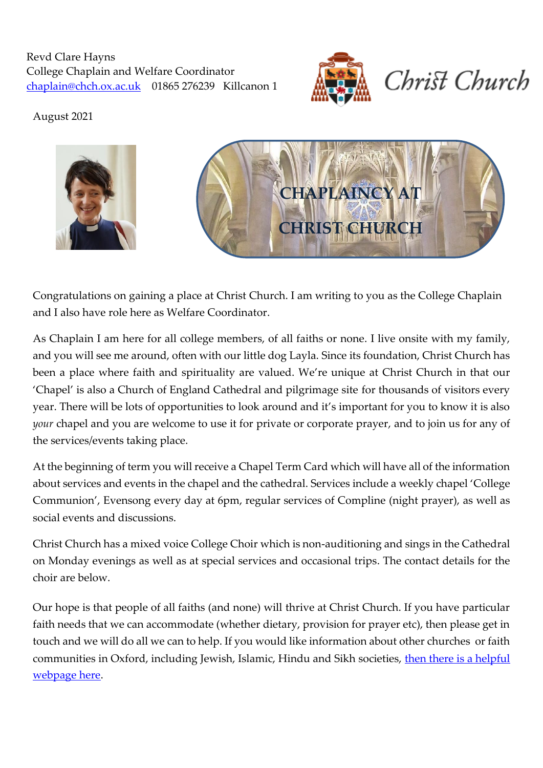Revd Clare Hayns College Chaplain and Welfare Coordinator [chaplain@chch.ox.ac.uk](mailto:chaplain@chch.ox.ac.uk) 01865 276239 Killcanon 1





August 2021



Congratulations on gaining a place at Christ Church. I am writing to you as the College Chaplain and I also have role here as Welfare Coordinator.

As Chaplain I am here for all college members, of all faiths or none. I live onsite with my family, and you will see me around, often with our little dog Layla. Since its foundation, Christ Church has been a place where faith and spirituality are valued. We're unique at Christ Church in that our 'Chapel' is also a Church of England Cathedral and pilgrimage site for thousands of visitors every year. There will be lots of opportunities to look around and it's important for you to know it is also *your* chapel and you are welcome to use it for private or corporate prayer, and to join us for any of the services/events taking place.

At the beginning of term you will receive a Chapel Term Card which will have all of the information about services and events in the chapel and the cathedral. Services include a weekly chapel 'College Communion', Evensong every day at 6pm, regular services of Compline (night prayer), as well as social events and discussions.

Christ Church has a mixed voice College Choir which is non-auditioning and sings in the Cathedral on Monday evenings as well as at special services and occasional trips. The contact details for the choir are below.

Our hope is that people of all faiths (and none) will thrive at Christ Church. If you have particular faith needs that we can accommodate (whether dietary, provision for prayer etc), then please get in touch and we will do all we can to help. If you would like information about other churches or faith communities in Oxford, including Jewish, Islamic, Hindu and Sikh societies, then there is a helpful [webpage here.](https://edu.admin.ox.ac.uk/faith-societies)